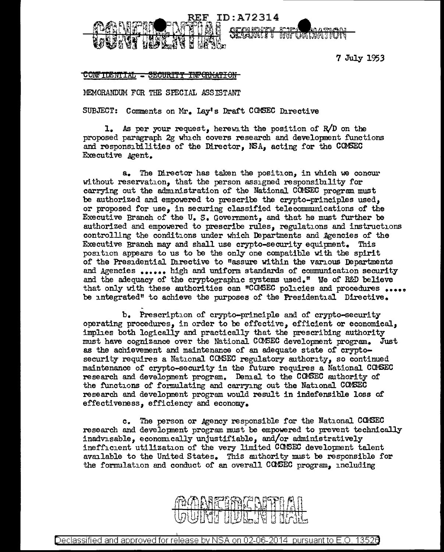

7 July 1953

## CONTIDENTIAL - SECURITY

MEMORANDUM FOR THE SPECIAL ASSISTANT

SUBJECT: Comments on Mr. Lay's Draft COMSEC Directive

1. As per your request, herewith the position of R/D on the proposed paragraph 2g which covers research and development functions and responsibilities of the Director, NSA, acting for the CONSEC Executive Agent.

a. The Director has taken the position, in which we concur without reservation, that the person assigned responsibility for carrying out the administration of the National COMSEC program must be authorized and empowered to prescribe the crypto-principles used, or proposed for use, in securing classified telecommunications of the Executive Branch of the U.S. Government, and that he must further be authorized and empowered to prescribe rules, regulations and instructions controlling the conditions under which Departments and Agencies of the Executive Branch may and shall use crypto-security equipment. This position appears to us to be the only one compatible with the spirit of the Presidential Directive to "assure within the various Departments and Agencies •••••• high and uniform standards of communication security and the adequacy of the cryptographic systems used." We of R&D believe that only with these authorities can "CCMBEC policies and procedures .... be integrated" to achieve the purposes of the Presidential Directive.

b. Prescription of crypto-principle and of crypto-security operating procedures, in order to be effective, efficient or economical, implies both logically and practically that the prescribing authority must have cognizance over the National CCMSEC development program. Just as the achievement and maintenance of an adequate state of cryptosecurity requires a National CONSEC regulatory authority, so continued maintenance of crypto-security in the future requires a National COMSEC research and development program. Denial to the COMSEC authority of the functions of formulating and carrying out the National CCMSEC research and developnent program would result in indefensible loss or effectiveness, efficiency and economy.

c. The person or Agency responsible for the National CGASEC research and development program must be empowered to prevent technically inadvisable, econonucally unjustifiable, and/or administratively inefficient utilization of the very limited COMSEC development talent available to the United States. This authority must be responsible for the formulation and conduct of an overall CCMIBC program, including



Declassified and approved for release by NSA on 02-06-2014  $\,$  pursuant to E.O. 1352 $6$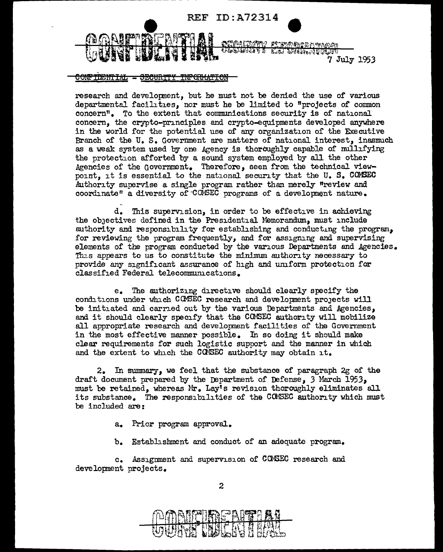

## <u>CONFIDENTIAL - SECURITY INFORMATION</u>

----------------- - -

research and developnent, but he must not be denied the use of various departmental facilities, nor must he be limited to "projects of common concern". To the extent that conmnmications security is of national concern, the crypto-pnnciples and crypto-equipments developed anywhere in the world for the potential use of any organization of the Executive Branch of the U. s. Government are matters of national interest, inasmuch as a weak system used by one Agency is thoraughly capable of nullifying the protection afforted by a sound system employed by all the other .Agencies of the Govermnent. Therefore, seen from the technical viewpoint, it is essential to the national security that the  $U_s$ .  $S_s$  COMSEC Authority supervise a single program rather than merely "review and coordinate" a diversity of  $COMSEC$  programs of a development nature.

d. This supervision, in order to be effective in achieving the obJectives defined in the Presidential Memorandum, must include authority and responsibility for establishing and conducting the program, for reviewing the program frequently, and for assigning and supervising elements of the program conducted by the various Departments and Agencies. This appears to us to constitute the minimum authority necessary to provide any significant assurance of high and umform protection for classified Federal telecommunications.

e. The authorizing directive should clearly srecify the conditions under which COMSEC research and development projects will be initiated and carried out by the various Departments and Agencies, and it should clearly specify that the COMSEC authority will mobilize all appropriate research and development facilities of the Government in the most effective manner possible. In so doing it should make clear requirements for such logistic support and the manner in which and the extent to which the CONSEC authority may obtain it.

2. In summary, we feel that the substance of paragraph 2g of the draft document prepared by the Department of Defense, 3 March 1953, must be retained, whereas Mr. Lay's revision thoroughly eliminates all its substance. The responsibilities of the CONSEC authority which must be included are:

a. Prior program approval.

b. Establishment and conduct of an adequate program.

c. Assigmnent and supervision of CCM3EC research and development projects.



2